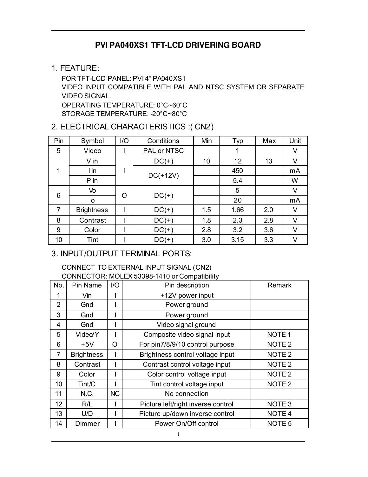## **PVI PA040XS1 TFT-LCD DRIVERING BOARD**

#### 1. FEATURE:

FOR TFT-LCD PANEL: PVI 4" PA040XS1 VIDEO INPUT COMPATIBLE WITH PAL AND NTSC SYSTEM OR SEPARATE VIDEO SIGNAL. OPERATING TEMPERATURE: 0°C~60°C STORAGE TEMPERATURE: -20°C~80°C

### 2. ELECTRICAL CHARACTERISTICS :( CN2)

| Pin | Symbol            | 1/O | Conditions  | Min | Typ  | Max | Unit |
|-----|-------------------|-----|-------------|-----|------|-----|------|
| 5   | Video             |     | PAL or NTSC |     | 1    |     | ٧    |
|     | $V$ in            |     | $DC(+)$     | 10  | 12   | 13  | V    |
| 1   | l in              |     | $DC(+12V)$  |     | 450  |     | mA   |
|     | P in              |     |             |     | 5.4  |     | W    |
| 6   | Vo                |     | $DC(+)$     |     | 5    |     | ٧    |
|     | $\mathsf b$       | O   |             |     | 20   |     | mA   |
| 7   | <b>Brightness</b> |     | $DC(+)$     | 1.5 | 1.66 | 2.0 | v    |
| 8   | Contrast          |     | $DC(+)$     | 1.8 | 2.3  | 2.8 | V    |
| 9   | Color             |     | $DC(+)$     | 2.8 | 3.2  | 3.6 | V    |
| 10  | Tint              |     | $DC(+)$     | 3.0 | 3.15 | 3.3 | v    |

#### 3. INPUT/OUTPUT TERMINAL PORTS:

#### CONNECT TO EXTERNAL INPUT SIGNAL (CN2)

CONNECTOR: MOLEX 53398-1410 or Compatibility

| No.            | Pin Name          | $IV$      | Pin description                    | Remark            |
|----------------|-------------------|-----------|------------------------------------|-------------------|
| 1              | Vin               |           | +12V power input                   |                   |
| $\overline{2}$ | Gnd               |           | Power ground                       |                   |
| 3              | Gnd               |           | Power ground                       |                   |
| 4              | Gnd               |           | Video signal ground                |                   |
| 5              | Video/Y           |           | Composite video signal input       | NOTE <sub>1</sub> |
| 6              | $+5V$             | O         | For pin7/8/9/10 control purpose    | NOTE <sub>2</sub> |
| $\overline{7}$ | <b>Brightness</b> |           | Brightness control voltage input   | NOTE <sub>2</sub> |
| 8              | Contrast          |           | Contrast control voltage input     | NOTE <sub>2</sub> |
| 9              | Color             |           | Color control voltage input        | NOTE <sub>2</sub> |
| 10             | Tint/C            |           | Tint control voltage input         | NOTE <sub>2</sub> |
| 11             | N.C.              | <b>NC</b> | No connection                      |                   |
| 12             | R/L               |           | Picture left/right inverse control | NOTE <sub>3</sub> |
| 13             | U/D               |           | Picture up/down inverse control    | NOTE <sub>4</sub> |
| 14             | Dimmer            |           | Power On/Off control               | NOTE <sub>5</sub> |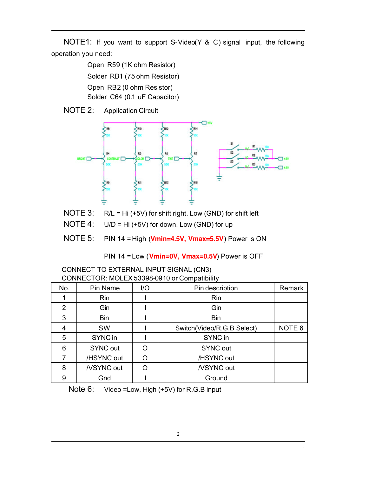NOTE1: If you want to support S-Video(Y & C) signal input, the following operation you need:

> Open R59 (1K ohm Resistor) Solder RB1 (75 ohm Resistor) Open RB2 (0 ohm Resistor) Solder C64 (0.1 uF Capacitor)

NOTE 2: Application Circuit



- NOTE 3: R/L = Hi (+5V) for shift right, Low (GND) for shift left
- NOTE  $4$ : U/D = Hi (+5V) for down, Low (GND) for up
- NOTE 5: PIN 14 = High (**Vmin=4.5V, Vmax=5.5V**) Power is ON

PIN 14 = Low (**Vmin=0V, Vmax=0.5V**) Power is OFF

CONNECT TO EXTERNAL INPUT SIGNAL (CN3) CONNECTOR: MOLEX 53398-0910 or Compatibility

| No. | Pin Name        | 1/O | Pin description            | Remark            |
|-----|-----------------|-----|----------------------------|-------------------|
|     | <b>Rin</b>      |     | Rin                        |                   |
| 2   | Gin             |     | Gin                        |                   |
| 3   | <b>Bin</b>      |     | <b>Bin</b>                 |                   |
| 4   | <b>SW</b>       |     | Switch(Video/R.G.B Select) | NOTE <sub>6</sub> |
| 5   | SYNC in         |     | SYNC in                    |                   |
| 6   | <b>SYNC out</b> |     | <b>SYNC out</b>            |                   |
|     | /HSYNC out      |     | /HSYNC out                 |                   |
| 8   | /VSYNC out      |     | /VSYNC out                 |                   |
| 9   | Gnd             |     | Ground                     |                   |

Note 6: Video =Low, High (+5V) for R.G.B input

֦

.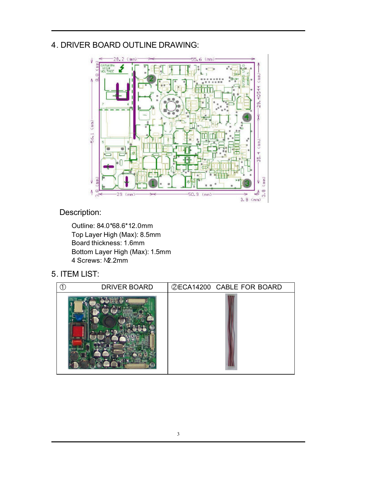## 4. DRIVER BOARD OUTLINE DRAWING:



Description:

Outline: 84.0\*68.6\*12.0mm Top Layer High (Max): 8.5mm Board thickness: 1.6mm Bottom Layer High (Max): 1.5mm 4 Screws: M2.2mm

5. ITEM LIST:

| <b>DRIVER BOARD</b> | <b>@ECA14200 CABLE FOR BOARD</b> |
|---------------------|----------------------------------|
|                     |                                  |